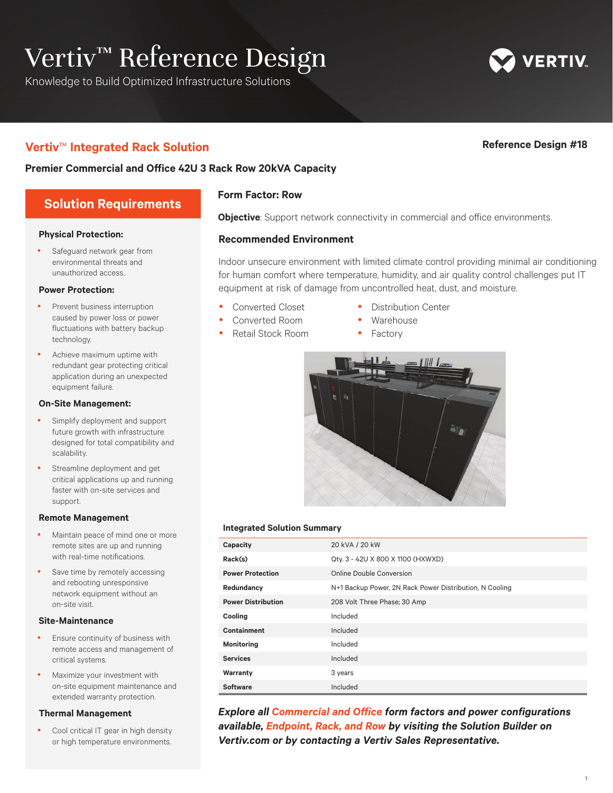# Vertiv<sup>™</sup> Reference Design

Knowledge to Build Optimized Infrastructure Solutions

# **Vertiv**™ **Integrated Rack Solution Reference Design #18**

**ERTIV** 

### **Premier Commercial and Office 42U 3 Rack Row 20kVA Capacity**

# **Solution Requirements**

#### **Physical Protection:**

 Safeguard network gear from environmental threats and unauthorized access.

#### **Power Protection:**

- Prevent business interruption caused by power loss or power fluctuations with battery backup technology.
- Achieve maximum uptime with redundant gear protecting critical application during an unexpected equipment failure.

#### **On-Site Management:**

- Simplify deployment and support future growth with infrastructure designed for total compatibility and scalability.
- Streamline deployment and get critical applications up and running faster with on-site services and support.

#### **Remote Management**

- Maintain peace of mind one or more remote sites are up and running with real-time notifications.
- Save time by remotely accessing and rebooting unresponsive network equipment without an on-site visit.

#### **Site-Maintenance**

- Ensure continuity of business with remote access and management of critical systems.
- Maximize your investment with on-site equipment maintenance and extended warranty protection.

#### **Thermal Management**

 Cool critical IT gear in high density or high temperature environments.

#### **Form Factor: Row**

**Objective**: Support network connectivity in commercial and office environments.

#### **Recommended Environment**

Indoor unsecure environment with limited climate control providing minimal air conditioning for human comfort where temperature, humidity, and air quality control challenges put IT equipment at risk of damage from uncontrolled heat, dust, and moisture.

- Converted Closet
- Converted Room
- Retail Stock Room
- Distribution Center
- Warehouse
- Factory



#### **Integrated Solution Summary**

| Capacity                  | 20 kVA / 20 kW                                          |  |
|---------------------------|---------------------------------------------------------|--|
| Rack(s)                   | Qty. 3 - 42U X 800 X 1100 (HXWXD)                       |  |
| <b>Power Protection</b>   | Online Double Conversion                                |  |
| Redundancy                | N+1 Backup Power, 2N Rack Power Distribution, N Cooling |  |
| <b>Power Distribution</b> | 208 Volt Three Phase; 30 Amp                            |  |
| Cooling                   | Included                                                |  |
| Containment               | Included                                                |  |
| <b>Monitoring</b>         | Included                                                |  |
| <b>Services</b>           | Included                                                |  |
| Warranty                  | 3 years                                                 |  |
| Software                  | Included                                                |  |

**Explore all Commercial and Office form factors and power configurations** *available, Endpoint, Rack, and Row by visiting the Solution Builder on Vertiv.com or by contacting a Vertiv Sales Representative.* 

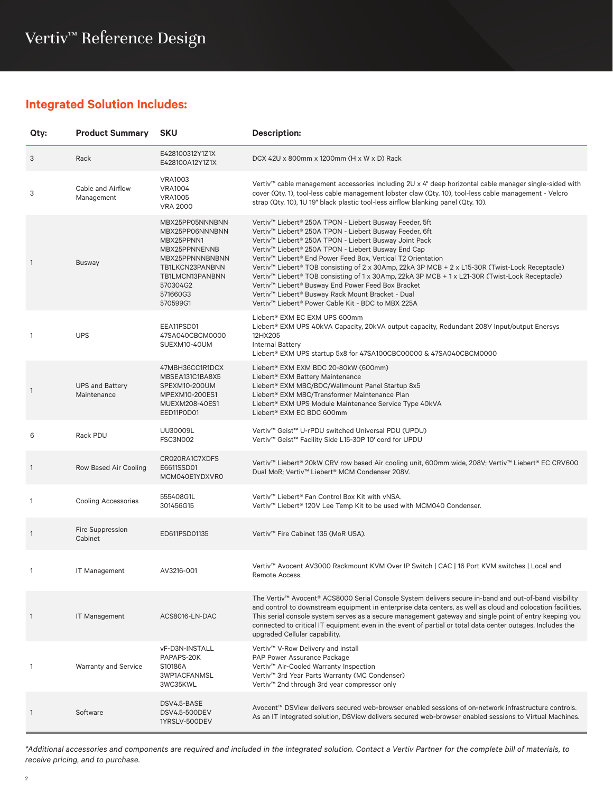# **Integrated Solution Includes:**

| Qty:           | <b>Product Summary</b>                | <b>SKU</b>                                                                                                                                                     | <b>Description:</b>                                                                                                                                                                                                                                                                                                                                                                                                                                                                                                                                                                                                                                                                                |
|----------------|---------------------------------------|----------------------------------------------------------------------------------------------------------------------------------------------------------------|----------------------------------------------------------------------------------------------------------------------------------------------------------------------------------------------------------------------------------------------------------------------------------------------------------------------------------------------------------------------------------------------------------------------------------------------------------------------------------------------------------------------------------------------------------------------------------------------------------------------------------------------------------------------------------------------------|
| 3              | Rack                                  | E428100312Y1Z1X<br>E428100A12Y1Z1X                                                                                                                             | DCX 42U x 800mm x 1200mm (H x W x D) Rack                                                                                                                                                                                                                                                                                                                                                                                                                                                                                                                                                                                                                                                          |
| 3              | Cable and Airflow<br>Management       | <b>VRA1003</b><br><b>VRA1004</b><br><b>VRA1005</b><br><b>VRA 2000</b>                                                                                          | Vertiv™ cable management accessories including 2U x 4" deep horizontal cable manager single-sided with<br>cover (Qty. 1), tool-less cable management lobster claw (Qty. 10), tool-less cable management - Velcro<br>strap (Qty. 10), 1U 19" black plastic tool-less airflow blanking panel (Qty. 10).                                                                                                                                                                                                                                                                                                                                                                                              |
| $\overline{1}$ | Busway                                | MBX25PP05NNNBNN<br>MBX25PP06NNNBNN<br>MBX25PPNN1<br>MBX25PPNNENNB<br>MBX25PPNNNBNBNN<br>TB1LKCN23PANBNN<br>TB1LMCN13PANBNN<br>570304G2<br>571660G3<br>570599G1 | Vertiv <sup>™</sup> Liebert® 250A TPON - Liebert Busway Feeder, 5ft<br>Vertiv™ Liebert® 250A TPON - Liebert Busway Feeder, 6ft<br>Vertiv™ Liebert® 250A TPON - Liebert Busway Joint Pack<br>Vertiv™ Liebert® 250A TPON - Liebert Busway End Cap<br>Vertiv <sup>™</sup> Liebert® End Power Feed Box, Vertical T2 Orientation<br>Vertiv™ Liebert® TOB consisting of 2 x 30Amp, 22kA 3P MCB + 2 x L15-30R (Twist-Lock Receptacle)<br>Vertiv™ Liebert® TOB consisting of 1 x 30Amp, 22kA 3P MCB + 1 x L21-30R (Twist-Lock Receptacle)<br>Vertiv™ Liebert® Busway End Power Feed Box Bracket<br>Vertiv™ Liebert® Busway Rack Mount Bracket - Dual<br>Vertiv™ Liebert® Power Cable Kit - BDC to MBX 225A |
| 1              | <b>UPS</b>                            | EEA11PSD01<br>47SA040CBCM0000<br>SUEXM10-40UM                                                                                                                  | Liebert® EXM EC EXM UPS 600mm<br>Liebert® EXM UPS 40kVA Capacity, 20kVA output capacity, Redundant 208V Input/output Enersys<br>12HX205<br><b>Internal Battery</b><br>Liebert® EXM UPS startup 5x8 for 47SA100CBC00000 & 47SA040CBCM0000                                                                                                                                                                                                                                                                                                                                                                                                                                                           |
| 1              | <b>UPS and Battery</b><br>Maintenance | 47MBH36CC1R1DCX<br>MBSEA131C1BA8X5<br>SPEXM10-200UM<br>MPEXM10-200ES1<br>MUEXM208-40ES1<br>EED11P0D01                                                          | Liebert® EXM EXM BDC 20-80kW (600mm)<br>Liebert® EXM Battery Maintenance<br>Liebert® EXM MBC/BDC/Wallmount Panel Startup 8x5<br>Liebert® EXM MBC/Transformer Maintenance Plan<br>Liebert® EXM UPS Module Maintenance Service Type 40kVA<br>Liebert® EXM EC BDC 600mm                                                                                                                                                                                                                                                                                                                                                                                                                               |
| 6              | Rack PDU                              | UU30009L<br><b>FSC3N002</b>                                                                                                                                    | Vertiv™ Geist™ U-rPDU switched Universal PDU (UPDU)<br>Vertiv <sup>™</sup> Geist <sup>™</sup> Facility Side L15-30P 10' cord for UPDU                                                                                                                                                                                                                                                                                                                                                                                                                                                                                                                                                              |
| $\overline{1}$ | Row Based Air Cooling                 | CR020RA1C7XDFS<br>E6611SSD01<br>MCM040E1YDXVR0                                                                                                                 | Vertiv™ Liebert® 20kW CRV row based Air cooling unit, 600mm wide, 208V; Vertiv™ Liebert® EC CRV600<br>Dual MoR; Vertiv™ Liebert® MCM Condenser 208V.                                                                                                                                                                                                                                                                                                                                                                                                                                                                                                                                               |
| 1              | <b>Cooling Accessories</b>            | 555408G1L<br>301456G15                                                                                                                                         | Vertiv <sup>™</sup> Liebert® Fan Control Box Kit with vNSA.<br>Vertiv™ Liebert® 120V Lee Temp Kit to be used with MCM040 Condenser.                                                                                                                                                                                                                                                                                                                                                                                                                                                                                                                                                                |
| $\mathbf{1}$   | Fire Suppression<br>Cabinet           | ED611PSD01135                                                                                                                                                  | Vertiv™ Fire Cabinet 135 (MoR USA).                                                                                                                                                                                                                                                                                                                                                                                                                                                                                                                                                                                                                                                                |
| 1              | <b>IT Management</b>                  | AV3216-001                                                                                                                                                     | Vertiv™ Avocent AV3000 Rackmount KVM Over IP Switch   CAC   16 Port KVM switches   Local and<br>Remote Access.                                                                                                                                                                                                                                                                                                                                                                                                                                                                                                                                                                                     |
| $\overline{1}$ | <b>IT Management</b>                  | ACS8016-LN-DAC                                                                                                                                                 | The Vertiv™ Avocent® ACS8000 Serial Console System delivers secure in-band and out-of-band visibility<br>and control to downstream equipment in enterprise data centers, as well as cloud and colocation facilities.<br>This serial console system serves as a secure management gateway and single point of entry keeping you<br>connected to critical IT equipment even in the event of partial or total data center outages. Includes the<br>upgraded Cellular capability.                                                                                                                                                                                                                      |
| 1              | <b>Warranty and Service</b>           | vF-D3N-INSTALL<br>PAPAPS-20K<br>S10186A<br><b>3WP1ACFANMSL</b><br>3WC35KWL                                                                                     | Vertiv™ V-Row Delivery and install<br>PAP Power Assurance Package<br>Vertiv <sup>™</sup> Air-Cooled Warranty Inspection<br>Vertiv <sup>™</sup> 3rd Year Parts Warranty (MC Condenser)<br>Vertiv <sup>™</sup> 2nd through 3rd year compressor only                                                                                                                                                                                                                                                                                                                                                                                                                                                  |
| $\overline{1}$ | Software                              | DSV4.5-BASE<br>DSV4.5-500DEV<br>1YRSLV-500DEV                                                                                                                  | Avocent™ DSView delivers secured web-browser enabled sessions of on-network infrastructure controls.<br>As an IT integrated solution, DSView delivers secured web-browser enabled sessions to Virtual Machines.                                                                                                                                                                                                                                                                                                                                                                                                                                                                                    |

*\*Additional accessories and components are required and included in the integrated solution. Contact a Vertiv Partner for the complete bill of materials, to receive pricing, and to purchase.*